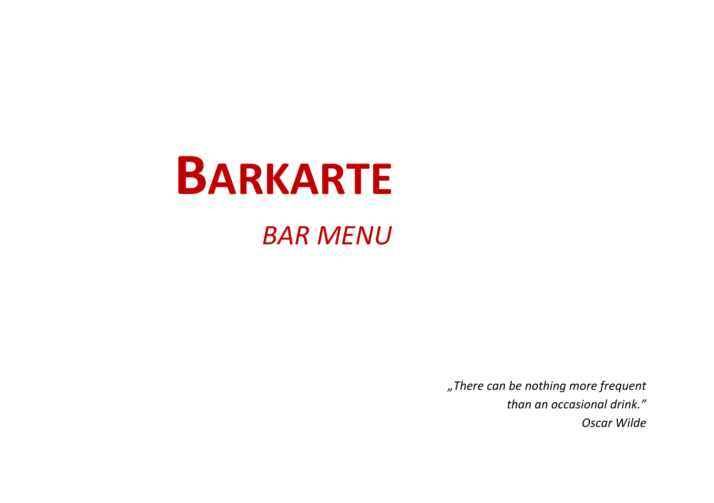# **BARKARTE**

## *BAR MENU*

*"There can be nothing more frequent than an occasional drink." Oscar Wilde*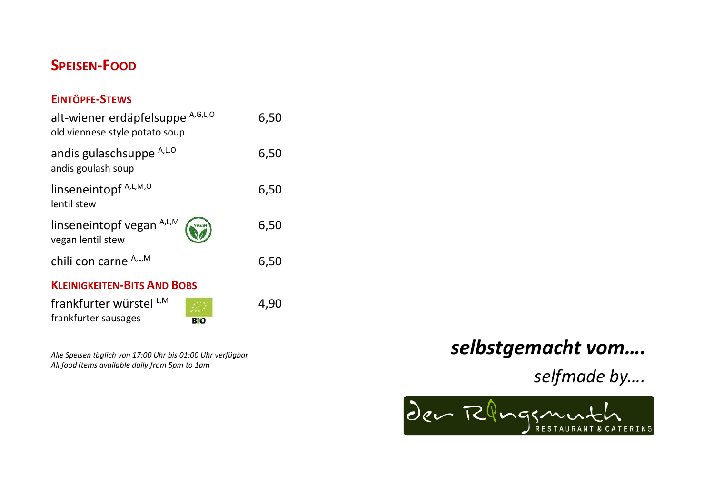## **SPEISEN-FOOD**

#### **EINTÖPFE-STEWS**

| alt-wiener erdäpfelsuppe A,G,L,O<br>old viennese style potato soup | 6,50 |
|--------------------------------------------------------------------|------|
| andis gulaschsuppe A,L,O<br>andis goulash soup                     | 6,50 |
| linseneintopf A,L,M,O<br>lentil stew                               | 6,50 |
| linseneintopf vegan $A, L, M$<br>vegan lentil stew                 | 6,50 |
| chili con carne A,L,M                                              | 6,50 |
| <b>KLEINIGKEITEN-BITS AND BOBS</b>                                 |      |
| frankfurter würstel LM<br>frankfurter sausages<br>BiO              | 4,90 |

*Alle Speisen täglich von 17:00 Uhr bis 01:00 Uhr verfügbar All food items available daily from 5pm to 1am*

## *selbstgemacht vom….*

*selfmade by….*

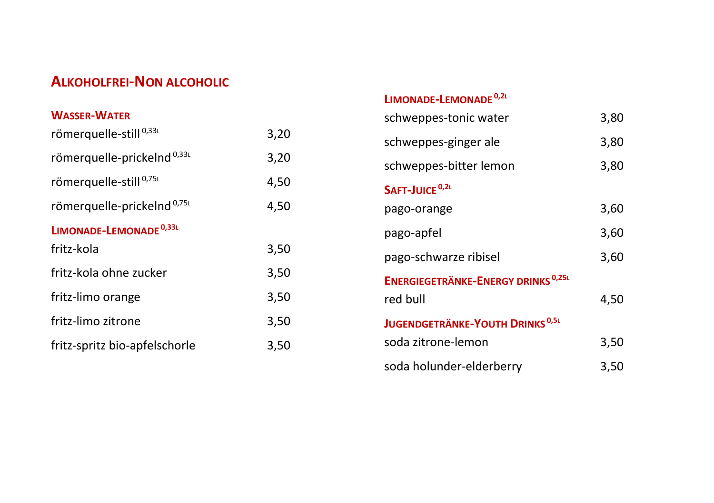## **ALKOHOLFREI-NON ALCOHOLIC**

| <b>WASSER-WATER</b>                    |      |
|----------------------------------------|------|
| römerquelle-still <sup>0,33L</sup>     | 3,20 |
| römerquelle-prickelnd <sup>0,33L</sup> | 3,20 |
| römerquelle-still <sup>0,75L</sup>     | 4,50 |
| römerquelle-prickelnd <sup>0,75L</sup> | 4,50 |
| LIMONADE-LEMONADE <sup>0,33L</sup>     |      |
| fritz-kola                             | 3,50 |
| fritz-kola ohne zucker                 | 3,50 |
| fritz-limo orange                      | 3,50 |
| fritz-limo zitrone                     | 3,50 |
| fritz-spritz bio-apfelschorle          | 3,50 |

#### **LIMONADE-LEMONADE 0,2<sup>L</sup>**

| schweppes-tonic water                                | 3,80 |
|------------------------------------------------------|------|
| schweppes-ginger ale                                 | 3,80 |
| schweppes-bitter lemon                               | 3,80 |
| SAFT-JUICE <sup>0,2L</sup>                           |      |
| pago-orange                                          | 3,60 |
| pago-apfel                                           | 3,60 |
| pago-schwarze ribisel                                | 3,60 |
| <b>ENERGIEGETRÄNKE-ENERGY DRINKS<sup>0,25L</sup></b> |      |
| red bull                                             | 4,50 |
| <b>JUGENDGETRÄNKE-YOUTH DRINKS<sup>0,5L</sup></b>    |      |
| soda zitrone-lemon                                   | 3,50 |
| soda holunder-elderberry                             | 3,50 |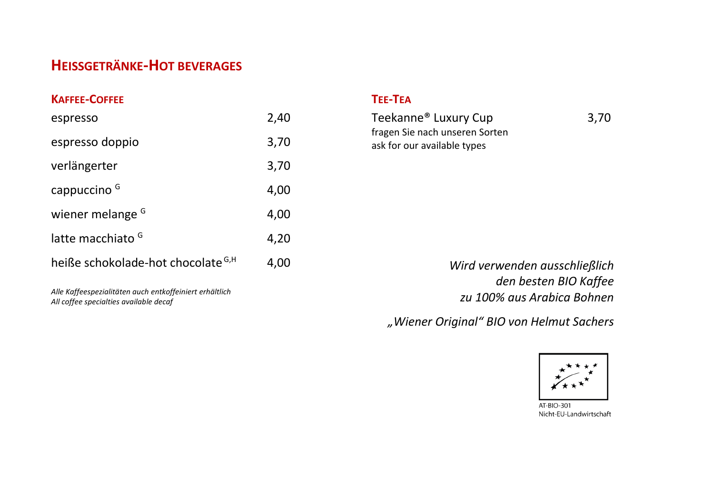## **HEISSGETRÄNKE-HOT BEVERAGES**

| <b>KAFFEE-COFFEE</b>                          |      |
|-----------------------------------------------|------|
| espresso                                      | 2.40 |
| espresso doppio                               | 3,70 |
| verlängerter                                  | 3,70 |
| cappuccino <sup>G</sup>                       | 4,00 |
| wiener melange <sup>G</sup>                   | 4,00 |
| latte macchiato <sup>G</sup>                  | 4,20 |
| heiße schokolade-hot chocolate <sup>G,H</sup> | 4.00 |
|                                               |      |

*Alle Kaffeespezialitäten auch entkoffeiniert erhältlich All coffee specialties available decaf*

#### **TEE-TEA**

| Teekanne® Luxury Cup           | 3,70 |
|--------------------------------|------|
| fragen Sie nach unseren Sorten |      |
| ask for our available types    |      |

*Wird verwenden ausschließlich den besten BIO Kaffee zu 100% aus Arabica Bohnen*

*"Wiener Original" BIO von Helmut Sachers*



AT-BIO-301 Nicht-EU-Landwirtschaft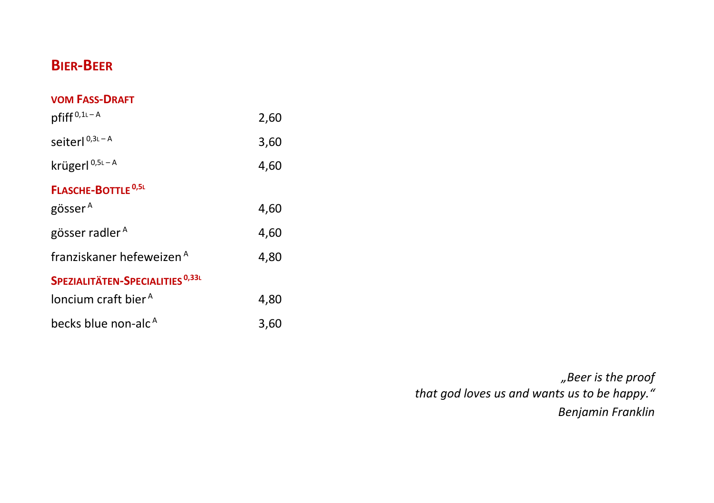## **BIER-BEER**

#### **VOM FASS-DRAFT**

| $pfiff^{0,1L-A}$                            | 2,60 |
|---------------------------------------------|------|
| seiterl <sup>0,3L-A</sup>                   | 3,60 |
| krügerl <sup>0,5L-A</sup>                   | 4,60 |
| <b>FLASCHE-BOTTLE<sup>0,5L</sup></b>        |      |
| gösser <sup>A</sup>                         | 4,60 |
| gösser radler <sup>A</sup>                  | 4,60 |
| franziskaner hefeweizen A                   | 4,80 |
| SPEZIALITÄTEN-SPECIALITIES <sup>0,33L</sup> |      |
| loncium craft bier <sup>A</sup>             | 4,80 |
| becks blue non-alc <sup>A</sup>             | 3,60 |

*"Beer is the proof that god loves us and wants us to be happy." Benjamin Franklin*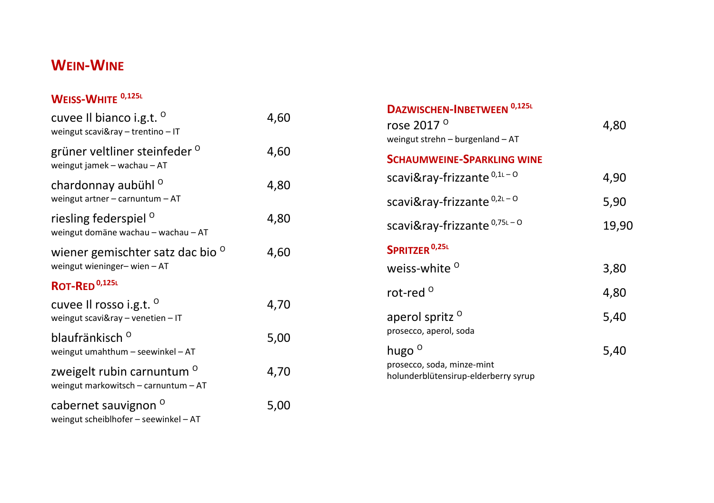## **WEIN - WINE**

#### **WEISS - WHITE 0,125 L**

| cuvee Il bianco i.g.t. <sup>o</sup><br>weingut scavi&ray - trentino - IT      | 4,60 |
|-------------------------------------------------------------------------------|------|
| grüner veltliner steinfeder <sup>0</sup><br>weingut jamek - wachau - AT       | 4,60 |
| chardonnay aubühl <sup>o</sup><br>weingut artner $-$ carnuntum $-$ AT         | 4,80 |
| riesling federspiel <sup>o</sup><br>weingut domäne wachau - wachau - AT       | 4,80 |
| wiener gemischter satz dac bio <sup>o</sup><br>weingut wieninger-wien-AT      | 4,60 |
| ROT-RED <sup>0,125L</sup>                                                     |      |
| cuvee Il rosso i.g.t. <sup>o</sup><br>weingut scavi&ray - venetien - IT       | 4,70 |
| blaufränkisch <sup>o</sup><br>weingut umahthum - seewinkel - AT               | 5,00 |
| zweigelt rubin carnuntum <sup>o</sup><br>weingut markowitsch - carnuntum - AT | 4,70 |
| cabernet sauvignon <sup>o</sup><br>weingut scheiblhofer - seewinkel - AT      | 5,00 |

| 4,80  |
|-------|
|       |
| 4,90  |
| 5,90  |
| 19,90 |
|       |
| 3,80  |
| 4,80  |
| 5,40  |
| 5,40  |
|       |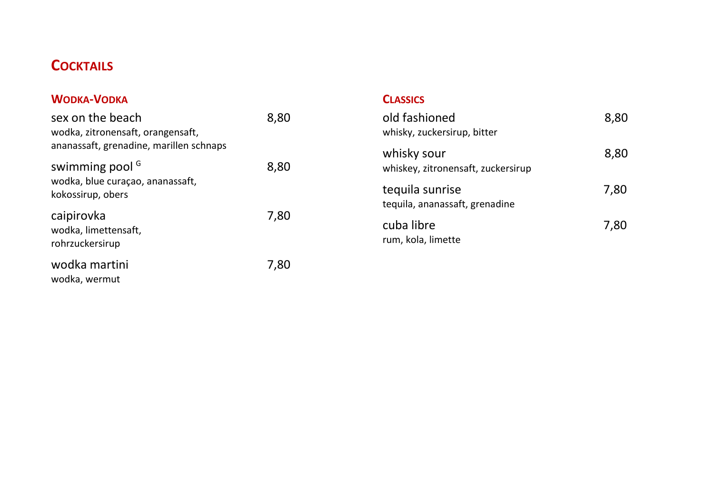## **COCKTAILS**

#### **WODKA-VODKA**

| sex on the beach<br>wodka, zitronensaft, orangensaft,<br>ananassaft, grenadine, marillen schnaps | 8.80 |
|--------------------------------------------------------------------------------------------------|------|
| swimming pool <sup>G</sup><br>wodka, blue curaçao, ananassaft,<br>kokossirup, obers              | 8,80 |
| caipirovka<br>wodka, limettensaft,<br>rohrzuckersirup                                            | 7,80 |
| wodka martini<br>wodka, wermut                                                                   | 7,80 |

#### **CLASSICS**

| old fashioned<br>whisky, zuckersirup, bitter      | 8.80 |
|---------------------------------------------------|------|
| whisky sour<br>whiskey, zitronensaft, zuckersirup | 8,80 |
| tequila sunrise<br>tequila, ananassaft, grenadine | 7.80 |
| cuba libre<br>rum, kola, limette                  | 7,80 |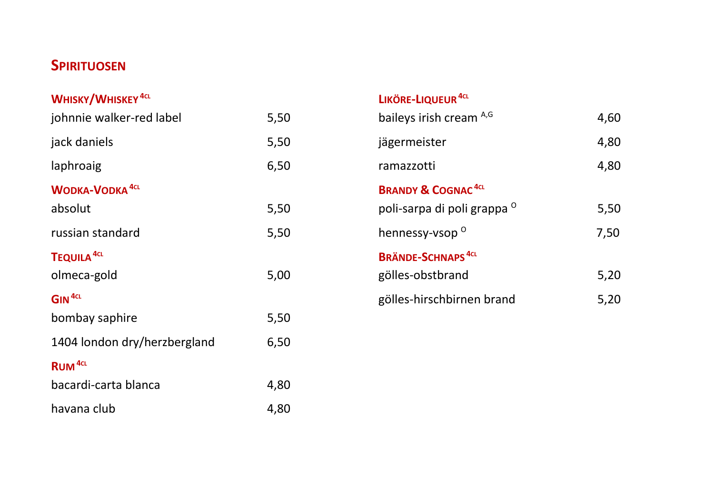## **SPIRITUOSEN**

| WHISKY/WHISKEY <sup>4CL</sup>     |      |
|-----------------------------------|------|
| johnnie walker-red label          | 5,50 |
| jack daniels                      | 5,50 |
| laphroaig                         | 6,50 |
| <b>WODKA-VODKA</b> <sup>4CL</sup> |      |
| absolut                           | 5,50 |
| russian standard                  | 5,50 |
| TEQUILA <sup>4CL</sup>            |      |
| olmeca-gold                       | 5,00 |
| GIN <sup>4CL</sup>                |      |
| bombay saphire                    | 5,50 |
| 1404 london dry/herzbergland      | 6,50 |
| <b>RUM</b> <sup>4cL</sup>         |      |
| bacardi-carta blanca              | 4,80 |
| havana club                       | 4,80 |

### **LIKÖRE-LIQUEUR4CL**

| baileys irish cream A,G                  | 4,60 |
|------------------------------------------|------|
| jägermeister                             | 4,80 |
| ramazzotti                               | 4,80 |
| <b>BRANDY &amp; COGNAC<sup>4CL</sup></b> |      |
| poli-sarpa di poli grappa <sup>0</sup>   | 5,50 |
| hennessy-vsop <sup>o</sup>               | 7,50 |
| <b>BRÄNDE-SCHNAPS</b> <sup>4CL</sup>     |      |
| gölles-obstbrand                         | 5,20 |
| gölles-hirschbirnen brand                | 5.20 |